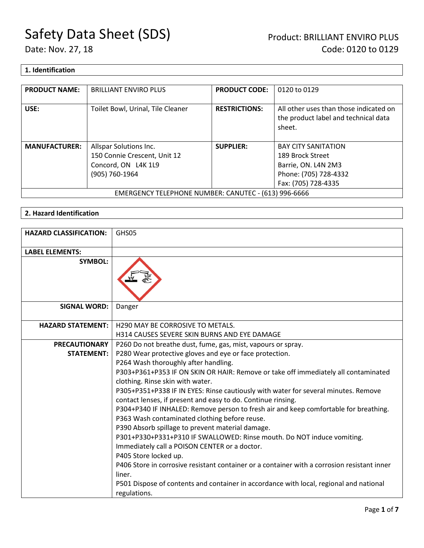#### **1. Identification**

| <b>PRODUCT NAME:</b>                                 | <b>BRILLIANT ENVIRO PLUS</b>      | <b>PRODUCT CODE:</b> | 0120 to 0129                                                                             |
|------------------------------------------------------|-----------------------------------|----------------------|------------------------------------------------------------------------------------------|
| USE:                                                 | Toilet Bowl, Urinal, Tile Cleaner | <b>RESTRICTIONS:</b> | All other uses than those indicated on<br>the product label and technical data<br>sheet. |
| <b>MANUFACTURER:</b>                                 | Allspar Solutions Inc.            | <b>SUPPLIER:</b>     | <b>BAY CITY SANITATION</b>                                                               |
|                                                      | 150 Connie Crescent, Unit 12      |                      | 189 Brock Street                                                                         |
|                                                      | Concord, ON L4K 1L9               |                      | Barrie, ON. L4N 2M3                                                                      |
|                                                      | (905) 760-1964                    |                      | Phone: (705) 728-4332                                                                    |
|                                                      |                                   |                      | Fax: (705) 728-4335                                                                      |
| EMERGENCY TELEPHONE NUMBER: CANUTEC - (613) 996-6666 |                                   |                      |                                                                                          |

#### **2. Hazard Identification**

| <b>HAZARD CLASSIFICATION:</b> | GHS05                                                                                                                  |
|-------------------------------|------------------------------------------------------------------------------------------------------------------------|
| <b>LABEL ELEMENTS:</b>        |                                                                                                                        |
| <b>SYMBOL:</b>                |                                                                                                                        |
| <b>SIGNAL WORD:</b>           | Danger                                                                                                                 |
| <b>HAZARD STATEMENT:</b>      | H290 MAY BE CORROSIVE TO METALS.                                                                                       |
|                               | <b>H314 CAUSES SEVERE SKIN BURNS AND EYE DAMAGE</b>                                                                    |
| <b>PRECAUTIONARY</b>          | P260 Do not breathe dust, fume, gas, mist, vapours or spray.                                                           |
| <b>STATEMENT:</b>             | P280 Wear protective gloves and eye or face protection.                                                                |
|                               | P264 Wash thoroughly after handling.                                                                                   |
|                               | P303+P361+P353 IF ON SKIN OR HAIR: Remove or take off immediately all contaminated<br>clothing. Rinse skin with water. |
|                               | P305+P351+P338 IF IN EYES: Rinse cautiously with water for several minutes. Remove                                     |
|                               | contact lenses, if present and easy to do. Continue rinsing.                                                           |
|                               | P304+P340 IF INHALED: Remove person to fresh air and keep comfortable for breathing.                                   |
|                               | P363 Wash contaminated clothing before reuse.                                                                          |
|                               | P390 Absorb spillage to prevent material damage.                                                                       |
|                               | P301+P330+P331+P310 IF SWALLOWED: Rinse mouth. Do NOT induce vomiting.                                                 |
|                               | Immediately call a POISON CENTER or a doctor.                                                                          |
|                               | P405 Store locked up.                                                                                                  |
|                               | P406 Store in corrosive resistant container or a container with a corrosion resistant inner                            |
|                               | liner.                                                                                                                 |
|                               | P501 Dispose of contents and container in accordance with local, regional and national                                 |
|                               | regulations.                                                                                                           |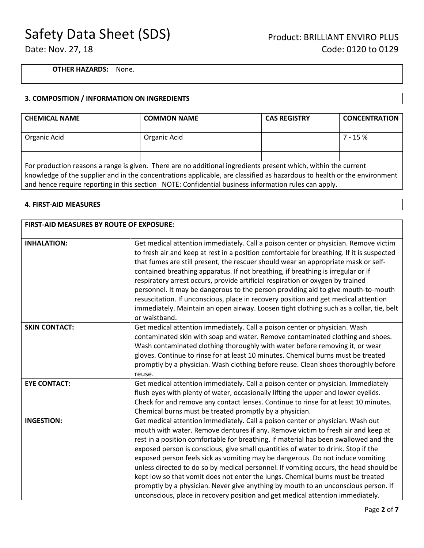**OTHER HAZARDS:** None.

#### **3. COMPOSITION / INFORMATION ON INGREDIENTS**

| <b>CHEMICAL NAME</b>                                                                                                                                                                                                                                                                                                                               | <b>COMMON NAME</b> | <b>CAS REGISTRY</b> | <b>CONCENTRATION</b> |
|----------------------------------------------------------------------------------------------------------------------------------------------------------------------------------------------------------------------------------------------------------------------------------------------------------------------------------------------------|--------------------|---------------------|----------------------|
| Organic Acid                                                                                                                                                                                                                                                                                                                                       | Organic Acid       |                     | $7 - 15%$            |
|                                                                                                                                                                                                                                                                                                                                                    |                    |                     |                      |
| For production reasons a range is given. There are no additional ingredients present which, within the current<br>knowledge of the supplier and in the concentrations applicable, are classified as hazardous to health or the environment<br>and hence require reporting in this section NOTE: Confidential business information rules can apply. |                    |                     |                      |

#### **4. FIRST-AID MEASURES**

| FIRST-AID MEASURES BY ROUTE OF EXPOSURE: |                                                                                                                                                                                                                                                                                                                                                                                                                                                                                                                                                                                                                                                                                                                                                                                       |  |
|------------------------------------------|---------------------------------------------------------------------------------------------------------------------------------------------------------------------------------------------------------------------------------------------------------------------------------------------------------------------------------------------------------------------------------------------------------------------------------------------------------------------------------------------------------------------------------------------------------------------------------------------------------------------------------------------------------------------------------------------------------------------------------------------------------------------------------------|--|
| <b>INHALATION:</b>                       | Get medical attention immediately. Call a poison center or physician. Remove victim<br>to fresh air and keep at rest in a position comfortable for breathing. If it is suspected<br>that fumes are still present, the rescuer should wear an appropriate mask or self-<br>contained breathing apparatus. If not breathing, if breathing is irregular or if<br>respiratory arrest occurs, provide artificial respiration or oxygen by trained<br>personnel. It may be dangerous to the person providing aid to give mouth-to-mouth<br>resuscitation. If unconscious, place in recovery position and get medical attention<br>immediately. Maintain an open airway. Loosen tight clothing such as a collar, tie, belt<br>or waistband.                                                  |  |
| <b>SKIN CONTACT:</b>                     | Get medical attention immediately. Call a poison center or physician. Wash<br>contaminated skin with soap and water. Remove contaminated clothing and shoes.<br>Wash contaminated clothing thoroughly with water before removing it, or wear<br>gloves. Continue to rinse for at least 10 minutes. Chemical burns must be treated<br>promptly by a physician. Wash clothing before reuse. Clean shoes thoroughly before<br>reuse.                                                                                                                                                                                                                                                                                                                                                     |  |
| <b>EYE CONTACT:</b>                      | Get medical attention immediately. Call a poison center or physician. Immediately<br>flush eyes with plenty of water, occasionally lifting the upper and lower eyelids.<br>Check for and remove any contact lenses. Continue to rinse for at least 10 minutes.<br>Chemical burns must be treated promptly by a physician.                                                                                                                                                                                                                                                                                                                                                                                                                                                             |  |
| <b>INGESTION:</b>                        | Get medical attention immediately. Call a poison center or physician. Wash out<br>mouth with water. Remove dentures if any. Remove victim to fresh air and keep at<br>rest in a position comfortable for breathing. If material has been swallowed and the<br>exposed person is conscious, give small quantities of water to drink. Stop if the<br>exposed person feels sick as vomiting may be dangerous. Do not induce vomiting<br>unless directed to do so by medical personnel. If vomiting occurs, the head should be<br>kept low so that vomit does not enter the lungs. Chemical burns must be treated<br>promptly by a physician. Never give anything by mouth to an unconscious person. If<br>unconscious, place in recovery position and get medical attention immediately. |  |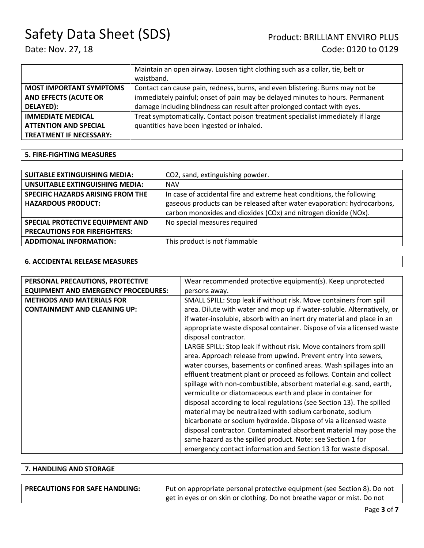# Date: Nov. 27, 18 Code: 0120 to 0129

|                                | Maintain an open airway. Loosen tight clothing such as a collar, tie, belt or   |  |
|--------------------------------|---------------------------------------------------------------------------------|--|
|                                | waistband.                                                                      |  |
| <b>MOST IMPORTANT SYMPTOMS</b> | Contact can cause pain, redness, burns, and even blistering. Burns may not be   |  |
| <b>AND EFFECTS (ACUTE OR</b>   | immediately painful; onset of pain may be delayed minutes to hours. Permanent   |  |
| DELAYED):                      | damage including blindness can result after prolonged contact with eyes.        |  |
| <b>IMMEDIATE MEDICAL</b>       | Treat symptomatically. Contact poison treatment specialist immediately if large |  |
| <b>ATTENTION AND SPECIAL</b>   | quantities have been ingested or inhaled.                                       |  |
| <b>TREATMENT IF NECESSARY:</b> |                                                                                 |  |

#### **5. FIRE-FIGHTING MEASURES**

| <b>SUITABLE EXTINGUISHING MEDIA:</b>                                                                 | CO2, sand, extinguishing powder.                                      |
|------------------------------------------------------------------------------------------------------|-----------------------------------------------------------------------|
| <b>UNSUITABLE EXTINGUISHING MEDIA:</b>                                                               | <b>NAV</b>                                                            |
| SPECIFIC HAZARDS ARISING FROM THE                                                                    | In case of accidental fire and extreme heat conditions, the following |
| gaseous products can be released after water evaporation: hydrocarbons,<br><b>HAZARDOUS PRODUCT:</b> |                                                                       |
|                                                                                                      | carbon monoxides and dioxides (COx) and nitrogen dioxide (NOx).       |
| SPECIAL PROTECTIVE EQUIPMENT AND                                                                     | No special measures required                                          |
| <b>PRECAUTIONS FOR FIREFIGHTERS:</b>                                                                 |                                                                       |
| <b>ADDITIONAL INFORMATION:</b>                                                                       | This product is not flammable                                         |

#### **6. ACCIDENTAL RELEASE MEASURES**

| PERSONAL PRECAUTIONS, PROTECTIVE           | Wear recommended protective equipment(s). Keep unprotected             |
|--------------------------------------------|------------------------------------------------------------------------|
| <b>EQUIPMENT AND EMERGENCY PROCEDURES:</b> | persons away.                                                          |
| <b>METHODS AND MATERIALS FOR</b>           | SMALL SPILL: Stop leak if without risk. Move containers from spill     |
| <b>CONTAINMENT AND CLEANING UP:</b>        | area. Dilute with water and mop up if water-soluble. Alternatively, or |
|                                            | if water-insoluble, absorb with an inert dry material and place in an  |
|                                            | appropriate waste disposal container. Dispose of via a licensed waste  |
|                                            | disposal contractor.                                                   |
|                                            | LARGE SPILL: Stop leak if without risk. Move containers from spill     |
|                                            | area. Approach release from upwind. Prevent entry into sewers,         |
|                                            | water courses, basements or confined areas. Wash spillages into an     |
|                                            | effluent treatment plant or proceed as follows. Contain and collect    |
|                                            | spillage with non-combustible, absorbent material e.g. sand, earth,    |
|                                            | vermiculite or diatomaceous earth and place in container for           |
|                                            | disposal according to local regulations (see Section 13). The spilled  |
|                                            | material may be neutralized with sodium carbonate, sodium              |
|                                            | bicarbonate or sodium hydroxide. Dispose of via a licensed waste       |
|                                            | disposal contractor. Contaminated absorbent material may pose the      |
|                                            | same hazard as the spilled product. Note: see Section 1 for            |
|                                            | emergency contact information and Section 13 for waste disposal.       |

### **7. HANDLING AND STORAGE**

| <b>PRECAUTIONS FOR SAFE HANDLING:</b> | Put on appropriate personal protective equipment (see Section 8). Do not |  |
|---------------------------------------|--------------------------------------------------------------------------|--|
|                                       | get in eyes or on skin or clothing. Do not breathe vapor or mist. Do not |  |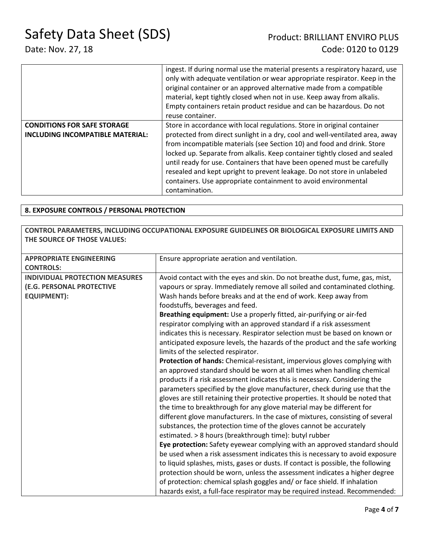|                                         | ingest. If during normal use the material presents a respiratory hazard, use<br>only with adequate ventilation or wear appropriate respirator. Keep in the<br>original container or an approved alternative made from a compatible<br>material, kept tightly closed when not in use. Keep away from alkalis.<br>Empty containers retain product residue and can be hazardous. Do not<br>reuse container. |
|-----------------------------------------|----------------------------------------------------------------------------------------------------------------------------------------------------------------------------------------------------------------------------------------------------------------------------------------------------------------------------------------------------------------------------------------------------------|
| <b>CONDITIONS FOR SAFE STORAGE</b>      | Store in accordance with local regulations. Store in original container                                                                                                                                                                                                                                                                                                                                  |
| <b>INCLUDING INCOMPATIBLE MATERIAL:</b> | protected from direct sunlight in a dry, cool and well-ventilated area, away                                                                                                                                                                                                                                                                                                                             |
|                                         | from incompatible materials (see Section 10) and food and drink. Store                                                                                                                                                                                                                                                                                                                                   |
|                                         | locked up. Separate from alkalis. Keep container tightly closed and sealed                                                                                                                                                                                                                                                                                                                               |
|                                         | until ready for use. Containers that have been opened must be carefully                                                                                                                                                                                                                                                                                                                                  |
|                                         | resealed and kept upright to prevent leakage. Do not store in unlabeled                                                                                                                                                                                                                                                                                                                                  |
|                                         | containers. Use appropriate containment to avoid environmental                                                                                                                                                                                                                                                                                                                                           |
|                                         | contamination.                                                                                                                                                                                                                                                                                                                                                                                           |

#### **8. EXPOSURE CONTROLS / PERSONAL PROTECTION**

#### **CONTROL PARAMETERS, INCLUDING OCCUPATIONAL EXPOSURE GUIDELINES OR BIOLOGICAL EXPOSURE LIMITS AND THE SOURCE OF THOSE VALUES:**

| Ensure appropriate aeration and ventilation.<br><b>APPROPRIATE ENGINEERING</b><br><b>CONTROLS:</b><br><b>INDIVIDUAL PROTECTION MEASURES</b><br>Avoid contact with the eyes and skin. Do not breathe dust, fume, gas, mist,<br>(E.G. PERSONAL PROTECTIVE<br>vapours or spray. Immediately remove all soiled and contaminated clothing.<br><b>EQUIPMENT):</b><br>Wash hands before breaks and at the end of work. Keep away from<br>foodstuffs, beverages and feed.<br>Breathing equipment: Use a properly fitted, air-purifying or air-fed<br>respirator complying with an approved standard if a risk assessment<br>indicates this is necessary. Respirator selection must be based on known or<br>anticipated exposure levels, the hazards of the product and the safe working<br>limits of the selected respirator.<br>Protection of hands: Chemical-resistant, impervious gloves complying with<br>an approved standard should be worn at all times when handling chemical<br>products if a risk assessment indicates this is necessary. Considering the<br>parameters specified by the glove manufacturer, check during use that the<br>gloves are still retaining their protective properties. It should be noted that<br>the time to breakthrough for any glove material may be different for<br>different glove manufacturers. In the case of mixtures, consisting of several<br>substances, the protection time of the gloves cannot be accurately<br>estimated. > 8 hours (breakthrough time): butyl rubber<br>Eye protection: Safety eyewear complying with an approved standard should<br>be used when a risk assessment indicates this is necessary to avoid exposure<br>to liquid splashes, mists, gases or dusts. If contact is possible, the following<br>protection should be worn, unless the assessment indicates a higher degree |  |
|-----------------------------------------------------------------------------------------------------------------------------------------------------------------------------------------------------------------------------------------------------------------------------------------------------------------------------------------------------------------------------------------------------------------------------------------------------------------------------------------------------------------------------------------------------------------------------------------------------------------------------------------------------------------------------------------------------------------------------------------------------------------------------------------------------------------------------------------------------------------------------------------------------------------------------------------------------------------------------------------------------------------------------------------------------------------------------------------------------------------------------------------------------------------------------------------------------------------------------------------------------------------------------------------------------------------------------------------------------------------------------------------------------------------------------------------------------------------------------------------------------------------------------------------------------------------------------------------------------------------------------------------------------------------------------------------------------------------------------------------------------------------------------------------------------------------------------------------------------|--|
|                                                                                                                                                                                                                                                                                                                                                                                                                                                                                                                                                                                                                                                                                                                                                                                                                                                                                                                                                                                                                                                                                                                                                                                                                                                                                                                                                                                                                                                                                                                                                                                                                                                                                                                                                                                                                                                     |  |
|                                                                                                                                                                                                                                                                                                                                                                                                                                                                                                                                                                                                                                                                                                                                                                                                                                                                                                                                                                                                                                                                                                                                                                                                                                                                                                                                                                                                                                                                                                                                                                                                                                                                                                                                                                                                                                                     |  |
|                                                                                                                                                                                                                                                                                                                                                                                                                                                                                                                                                                                                                                                                                                                                                                                                                                                                                                                                                                                                                                                                                                                                                                                                                                                                                                                                                                                                                                                                                                                                                                                                                                                                                                                                                                                                                                                     |  |
|                                                                                                                                                                                                                                                                                                                                                                                                                                                                                                                                                                                                                                                                                                                                                                                                                                                                                                                                                                                                                                                                                                                                                                                                                                                                                                                                                                                                                                                                                                                                                                                                                                                                                                                                                                                                                                                     |  |
|                                                                                                                                                                                                                                                                                                                                                                                                                                                                                                                                                                                                                                                                                                                                                                                                                                                                                                                                                                                                                                                                                                                                                                                                                                                                                                                                                                                                                                                                                                                                                                                                                                                                                                                                                                                                                                                     |  |
|                                                                                                                                                                                                                                                                                                                                                                                                                                                                                                                                                                                                                                                                                                                                                                                                                                                                                                                                                                                                                                                                                                                                                                                                                                                                                                                                                                                                                                                                                                                                                                                                                                                                                                                                                                                                                                                     |  |
|                                                                                                                                                                                                                                                                                                                                                                                                                                                                                                                                                                                                                                                                                                                                                                                                                                                                                                                                                                                                                                                                                                                                                                                                                                                                                                                                                                                                                                                                                                                                                                                                                                                                                                                                                                                                                                                     |  |
|                                                                                                                                                                                                                                                                                                                                                                                                                                                                                                                                                                                                                                                                                                                                                                                                                                                                                                                                                                                                                                                                                                                                                                                                                                                                                                                                                                                                                                                                                                                                                                                                                                                                                                                                                                                                                                                     |  |
|                                                                                                                                                                                                                                                                                                                                                                                                                                                                                                                                                                                                                                                                                                                                                                                                                                                                                                                                                                                                                                                                                                                                                                                                                                                                                                                                                                                                                                                                                                                                                                                                                                                                                                                                                                                                                                                     |  |
|                                                                                                                                                                                                                                                                                                                                                                                                                                                                                                                                                                                                                                                                                                                                                                                                                                                                                                                                                                                                                                                                                                                                                                                                                                                                                                                                                                                                                                                                                                                                                                                                                                                                                                                                                                                                                                                     |  |
|                                                                                                                                                                                                                                                                                                                                                                                                                                                                                                                                                                                                                                                                                                                                                                                                                                                                                                                                                                                                                                                                                                                                                                                                                                                                                                                                                                                                                                                                                                                                                                                                                                                                                                                                                                                                                                                     |  |
|                                                                                                                                                                                                                                                                                                                                                                                                                                                                                                                                                                                                                                                                                                                                                                                                                                                                                                                                                                                                                                                                                                                                                                                                                                                                                                                                                                                                                                                                                                                                                                                                                                                                                                                                                                                                                                                     |  |
|                                                                                                                                                                                                                                                                                                                                                                                                                                                                                                                                                                                                                                                                                                                                                                                                                                                                                                                                                                                                                                                                                                                                                                                                                                                                                                                                                                                                                                                                                                                                                                                                                                                                                                                                                                                                                                                     |  |
|                                                                                                                                                                                                                                                                                                                                                                                                                                                                                                                                                                                                                                                                                                                                                                                                                                                                                                                                                                                                                                                                                                                                                                                                                                                                                                                                                                                                                                                                                                                                                                                                                                                                                                                                                                                                                                                     |  |
|                                                                                                                                                                                                                                                                                                                                                                                                                                                                                                                                                                                                                                                                                                                                                                                                                                                                                                                                                                                                                                                                                                                                                                                                                                                                                                                                                                                                                                                                                                                                                                                                                                                                                                                                                                                                                                                     |  |
|                                                                                                                                                                                                                                                                                                                                                                                                                                                                                                                                                                                                                                                                                                                                                                                                                                                                                                                                                                                                                                                                                                                                                                                                                                                                                                                                                                                                                                                                                                                                                                                                                                                                                                                                                                                                                                                     |  |
|                                                                                                                                                                                                                                                                                                                                                                                                                                                                                                                                                                                                                                                                                                                                                                                                                                                                                                                                                                                                                                                                                                                                                                                                                                                                                                                                                                                                                                                                                                                                                                                                                                                                                                                                                                                                                                                     |  |
|                                                                                                                                                                                                                                                                                                                                                                                                                                                                                                                                                                                                                                                                                                                                                                                                                                                                                                                                                                                                                                                                                                                                                                                                                                                                                                                                                                                                                                                                                                                                                                                                                                                                                                                                                                                                                                                     |  |
|                                                                                                                                                                                                                                                                                                                                                                                                                                                                                                                                                                                                                                                                                                                                                                                                                                                                                                                                                                                                                                                                                                                                                                                                                                                                                                                                                                                                                                                                                                                                                                                                                                                                                                                                                                                                                                                     |  |
|                                                                                                                                                                                                                                                                                                                                                                                                                                                                                                                                                                                                                                                                                                                                                                                                                                                                                                                                                                                                                                                                                                                                                                                                                                                                                                                                                                                                                                                                                                                                                                                                                                                                                                                                                                                                                                                     |  |
|                                                                                                                                                                                                                                                                                                                                                                                                                                                                                                                                                                                                                                                                                                                                                                                                                                                                                                                                                                                                                                                                                                                                                                                                                                                                                                                                                                                                                                                                                                                                                                                                                                                                                                                                                                                                                                                     |  |
|                                                                                                                                                                                                                                                                                                                                                                                                                                                                                                                                                                                                                                                                                                                                                                                                                                                                                                                                                                                                                                                                                                                                                                                                                                                                                                                                                                                                                                                                                                                                                                                                                                                                                                                                                                                                                                                     |  |
|                                                                                                                                                                                                                                                                                                                                                                                                                                                                                                                                                                                                                                                                                                                                                                                                                                                                                                                                                                                                                                                                                                                                                                                                                                                                                                                                                                                                                                                                                                                                                                                                                                                                                                                                                                                                                                                     |  |
|                                                                                                                                                                                                                                                                                                                                                                                                                                                                                                                                                                                                                                                                                                                                                                                                                                                                                                                                                                                                                                                                                                                                                                                                                                                                                                                                                                                                                                                                                                                                                                                                                                                                                                                                                                                                                                                     |  |
| of protection: chemical splash goggles and/ or face shield. If inhalation                                                                                                                                                                                                                                                                                                                                                                                                                                                                                                                                                                                                                                                                                                                                                                                                                                                                                                                                                                                                                                                                                                                                                                                                                                                                                                                                                                                                                                                                                                                                                                                                                                                                                                                                                                           |  |
| hazards exist, a full-face respirator may be required instead. Recommended:                                                                                                                                                                                                                                                                                                                                                                                                                                                                                                                                                                                                                                                                                                                                                                                                                                                                                                                                                                                                                                                                                                                                                                                                                                                                                                                                                                                                                                                                                                                                                                                                                                                                                                                                                                         |  |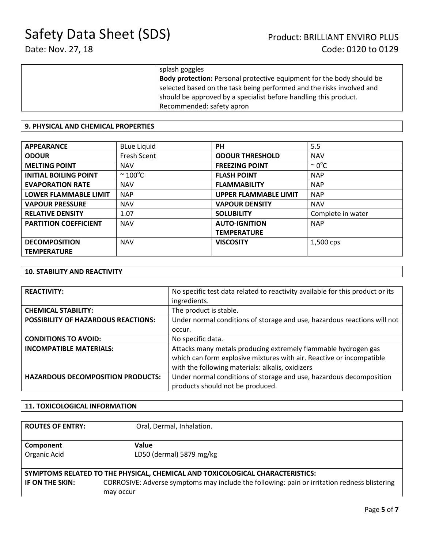| splash goggles                                                               |
|------------------------------------------------------------------------------|
| <b>Body protection:</b> Personal protective equipment for the body should be |
| selected based on the task being performed and the risks involved and        |
| should be approved by a specialist before handling this product.             |
| Recommended: safety apron                                                    |

#### **9. PHYSICAL AND CHEMICAL PROPERTIES**

| <b>APPEARANCE</b>            | <b>BLue Liquid</b>      | <b>PH</b>                    | 5.5                |
|------------------------------|-------------------------|------------------------------|--------------------|
| <b>ODOUR</b>                 | Fresh Scent             | <b>ODOUR THRESHOLD</b>       | <b>NAV</b>         |
| <b>MELTING POINT</b>         | <b>NAV</b>              | <b>FREEZING POINT</b>        | $\sim 0^{\circ}$ C |
| <b>INITIAL BOILING POINT</b> | $\sim$ 100 $^{\circ}$ C | <b>FLASH POINT</b>           | <b>NAP</b>         |
| <b>EVAPORATION RATE</b>      | <b>NAV</b>              | <b>FLAMMABILITY</b>          | <b>NAP</b>         |
| <b>LOWER FLAMMABLE LIMIT</b> | <b>NAP</b>              | <b>UPPER FLAMMABLE LIMIT</b> | <b>NAP</b>         |
| <b>VAPOUR PRESSURE</b>       | <b>NAV</b>              | <b>VAPOUR DENSITY</b>        | <b>NAV</b>         |
| <b>RELATIVE DENSITY</b>      | 1.07                    | <b>SOLUBILITY</b>            | Complete in water  |
| <b>PARTITION COEFFICIENT</b> | <b>NAV</b>              | <b>AUTO-IGNITION</b>         | <b>NAP</b>         |
|                              |                         | <b>TEMPERATURE</b>           |                    |
| <b>DECOMPOSITION</b>         | <b>NAV</b>              | <b>VISCOSITY</b>             | 1,500 cps          |
| <b>TEMPERATURE</b>           |                         |                              |                    |

#### **10. STABILITY AND REACTIVITY**

| <b>REACTIVITY:</b>                       | No specific test data related to reactivity available for this product or its |
|------------------------------------------|-------------------------------------------------------------------------------|
|                                          | ingredients.                                                                  |
| <b>CHEMICAL STABILITY:</b>               | The product is stable.                                                        |
| POSSIBILITY OF HAZARDOUS REACTIONS:      | Under normal conditions of storage and use, hazardous reactions will not      |
|                                          | occur.                                                                        |
| <b>CONDITIONS TO AVOID:</b>              | No specific data.                                                             |
| <b>INCOMPATIBLE MATERIALS:</b>           | Attacks many metals producing extremely flammable hydrogen gas                |
|                                          | which can form explosive mixtures with air. Reactive or incompatible          |
|                                          | with the following materials: alkalis, oxidizers                              |
| <b>HAZARDOUS DECOMPOSITION PRODUCTS:</b> | Under normal conditions of storage and use, hazardous decomposition           |
|                                          | products should not be produced.                                              |

#### **11. TOXICOLOGICAL INFORMATION**

| <b>ROUTES OF ENTRY:</b>                                                       | Oral, Dermal, Inhalation.                                                                    |  |
|-------------------------------------------------------------------------------|----------------------------------------------------------------------------------------------|--|
| Component                                                                     | Value                                                                                        |  |
| Organic Acid                                                                  | LD50 (dermal) 5879 mg/kg                                                                     |  |
| SYMPTOMS RELATED TO THE PHYSICAL, CHEMICAL AND TOXICOLOGICAL CHARACTERISTICS: |                                                                                              |  |
| IF ON THE SKIN:                                                               | CORROSIVE: Adverse symptoms may include the following: pain or irritation redness blistering |  |
|                                                                               | may occur                                                                                    |  |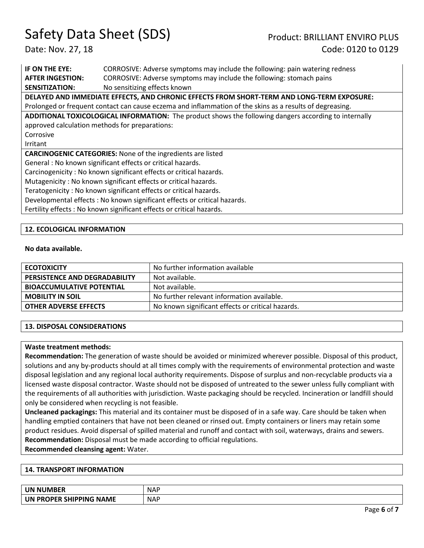Date: Nov. 27, 18 Code: 0120 to 0129

**IF ON THE EYE:** CORROSIVE: Adverse symptoms may include the following: pain watering redness **AFTER INGESTION:** CORROSIVE: Adverse symptoms may include the following: stomach pains **SENSITIZATION:** No sensitizing effects known **DELAYED AND IMMEDIATE EFFECTS, AND CHRONIC EFFECTS FROM SHORT-TERM AND LONG-TERM EXPOSURE:**  Prolonged or frequent contact can cause eczema and inflammation of the skins as a results of degreasing. **ADDITIONAL TOXICOLOGICAL INFORMATION:** The product shows the following dangers according to internally approved calculation methods for preparations: Corrosive Irritant **CARCINOGENIC CATEGORIES:** None of the ingredients are listed General : No known significant effects or critical hazards. Carcinogenicity : No known significant effects or critical hazards. Mutagenicity : No known significant effects or critical hazards. Teratogenicity : No known significant effects or critical hazards. Developmental effects : No known significant effects or critical hazards. Fertility effects : No known significant effects or critical hazards.

#### **12. ECOLOGICAL INFORMATION**

#### **No data available.**

| <b>ECOTOXICITY</b>                   | No further information available                  |
|--------------------------------------|---------------------------------------------------|
| <b>PERSISTENCE AND DEGRADABILITY</b> | Not available.                                    |
| <b>BIOACCUMULATIVE POTENTIAL</b>     | Not available.                                    |
| <b>MOBILITY IN SOIL</b>              | No further relevant information available.        |
| <b>OTHER ADVERSE EFFECTS</b>         | No known significant effects or critical hazards. |

#### **13. DISPOSAL CONSIDERATIONS**

#### **Waste treatment methods:**

**Recommendation:** The generation of waste should be avoided or minimized wherever possible. Disposal of this product, solutions and any by-products should at all times comply with the requirements of environmental protection and waste disposal legislation and any regional local authority requirements. Dispose of surplus and non-recyclable products via a licensed waste disposal contractor. Waste should not be disposed of untreated to the sewer unless fully compliant with the requirements of all authorities with jurisdiction. Waste packaging should be recycled. Incineration or landfill should only be considered when recycling is not feasible.

**Uncleaned packagings:** This material and its container must be disposed of in a safe way. Care should be taken when handling emptied containers that have not been cleaned or rinsed out. Empty containers or liners may retain some product residues. Avoid dispersal of spilled material and runoff and contact with soil, waterways, drains and sewers. **Recommendation:** Disposal must be made according to official regulations.

**Recommended cleansing agent:** Water.

#### **14. TRANSPORT INFORMATION**

| <b>UN NUMBER</b>                            | <b>NAF</b> |
|---------------------------------------------|------------|
| <b>NAME</b><br><b>PROPER SHIPPING</b><br>UN | <b>NAP</b> |